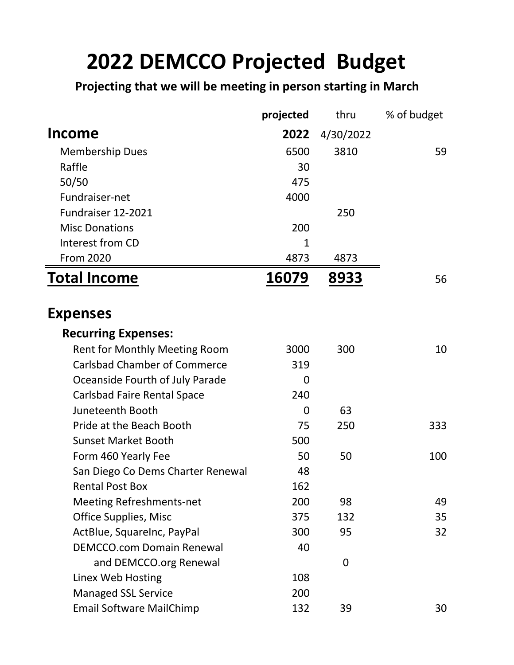## **2022 DEMCCO Projected Budget**

**Projecting that we will be meeting in person starting in March**

|                                     | projected | thru      | % of budget |
|-------------------------------------|-----------|-----------|-------------|
| <b>Income</b>                       | 2022      | 4/30/2022 |             |
| <b>Membership Dues</b>              | 6500      | 3810      | 59          |
| Raffle                              | 30        |           |             |
| 50/50                               | 475       |           |             |
| Fundraiser-net                      | 4000      |           |             |
| Fundraiser 12-2021                  |           | 250       |             |
| <b>Misc Donations</b>               | 200       |           |             |
| Interest from CD                    | 1         |           |             |
| <b>From 2020</b>                    | 4873      | 4873      |             |
| <b>Total Income</b>                 | 16079     | 8933      | 56          |
| <b>Expenses</b>                     |           |           |             |
| <b>Recurring Expenses:</b>          |           |           |             |
| Rent for Monthly Meeting Room       | 3000      | 300       | 10          |
| <b>Carlsbad Chamber of Commerce</b> | 319       |           |             |
| Oceanside Fourth of July Parade     | 0         |           |             |
| <b>Carlsbad Faire Rental Space</b>  | 240       |           |             |
| Juneteenth Booth                    | 0         | 63        |             |
| Pride at the Beach Booth            | 75        | 250       | 333         |
| <b>Sunset Market Booth</b>          | 500       |           |             |
| Form 460 Yearly Fee                 | 50        | 50        | 100         |
| San Diego Co Dems Charter Renewal   | 48        |           |             |
| <b>Rental Post Box</b>              | 162       |           |             |
| <b>Meeting Refreshments-net</b>     | 200       | 98        | 49          |
| Office Supplies, Misc               | 375       | 132       | 35          |
| ActBlue, SquareInc, PayPal          | 300       | 95        | 32          |
| <b>DEMCCO.com Domain Renewal</b>    | 40        |           |             |
| and DEMCCO.org Renewal              |           | 0         |             |
| Linex Web Hosting                   | 108       |           |             |
| <b>Managed SSL Service</b>          | 200       |           |             |
| <b>Email Software MailChimp</b>     | 132       | 39        | 30          |